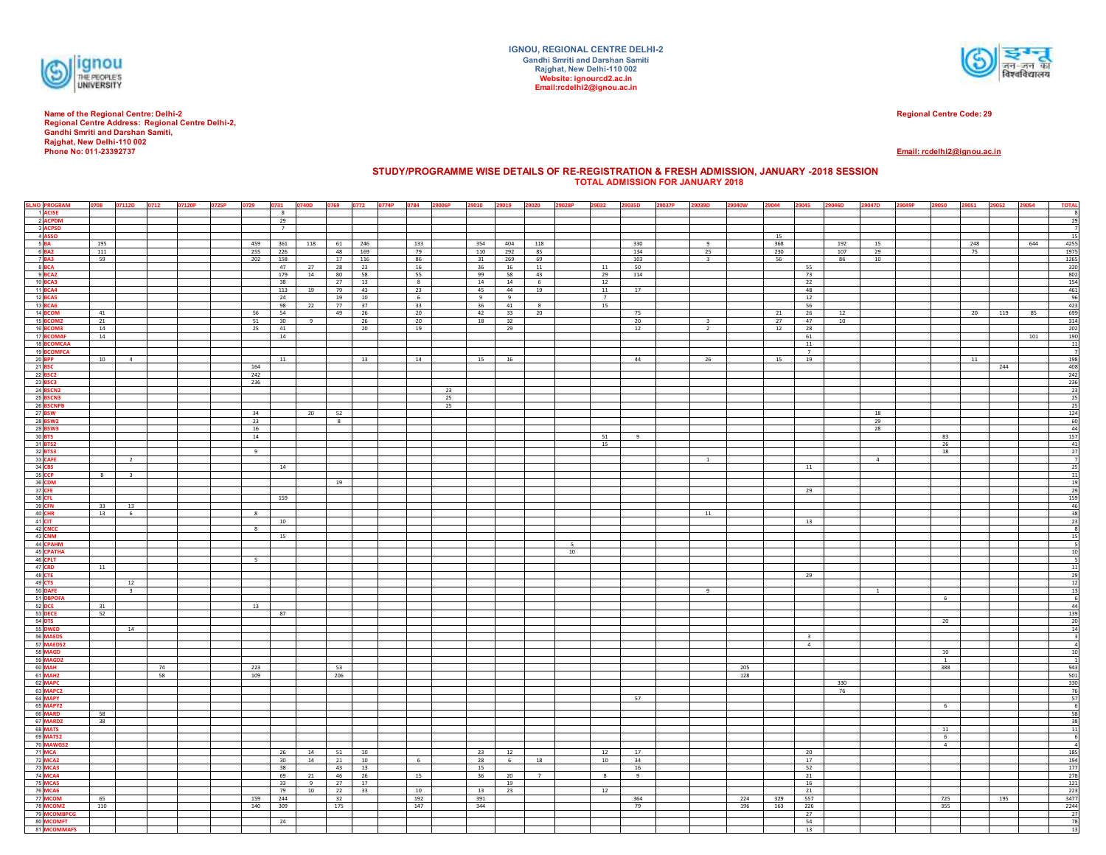

Name of the Regional Centre: Delhi-2<br>Regional Centre Address: Regional Centre Delhi-2,<br>Gandhi Smriti and Darshan Samiti,<br>Rajghat, New Delhi-110 002 **Phone No: 011-23392737**



**Regional Centre Code: 29**

**Email: rcdelhi2@ignou.ac.in**

## **STUDY/PROGRAMME WISE DETAILS OF RE-REGISTRATION & FRESH ADMISSION, JANUARY -2018 SESSION TOTAL ADMISSION FOR JANUARY 2018**

| <b>SLNO PROGRAM</b>                |                | 0708 07112D             | 0712 | 07120P | 0725P | 0729       |                 | 0731 0740D 0769 0772 0774P 0784 29006P |                |              |                       |    |            | 29010 29019 29020 |           | 29028P | 29032                | 29035D     | 29037P | 29039D                  | 29040W     | 29044      | 29045        | 29046D     | 29047D         | 29049P | 29050 29051 29052  |           |     | 29054 | <b>TOTAL</b>                                                                  |
|------------------------------------|----------------|-------------------------|------|--------|-------|------------|-----------------|----------------------------------------|----------------|--------------|-----------------------|----|------------|-------------------|-----------|--------|----------------------|------------|--------|-------------------------|------------|------------|--------------|------------|----------------|--------|--------------------|-----------|-----|-------|-------------------------------------------------------------------------------|
| 1 ACISE                            |                |                         |      |        |       |            | 8               |                                        |                |              |                       |    |            |                   |           |        |                      |            |        |                         |            |            |              |            |                |        |                    |           |     |       |                                                                               |
| 2 ACPDM                            |                |                         |      |        |       |            | 29              |                                        |                |              |                       |    |            |                   |           |        |                      |            |        |                         |            |            |              |            |                |        |                    |           |     |       | 29                                                                            |
| 3 ACPSD                            |                |                         |      |        |       |            | 7               |                                        |                |              |                       |    |            |                   |           |        |                      |            |        |                         |            |            |              |            |                |        |                    |           |     |       | 7                                                                             |
| 4 ASSO                             |                |                         |      |        |       |            |                 |                                        |                |              |                       |    |            |                   |           |        |                      |            |        |                         |            | 15         |              |            |                |        |                    |           |     |       | 15                                                                            |
| $5B$ A                             | 195<br>$111\,$ |                         |      |        |       | 459<br>255 | 361             | 118                                    | 61<br>48       | 246<br>169   | 133<br>79             |    | 354<br>110 | 404<br>292        | 118<br>85 |        |                      | 330<br>134 |        | -9<br>25                |            | 368<br>230 |              | 192<br>107 | 15<br>29       |        |                    | 248<br>75 |     | 644   | 4255<br>1975                                                                  |
| 6<br><b>BA2</b><br>7<br><b>BA3</b> | 59             |                         |      |        |       | 202        | 226<br>158      |                                        | 17             | 116          | 86                    |    | 31         | 269               | 69        |        |                      | 103        |        | $\overline{\mathbf{3}}$ |            | 56         |              | 86         | $10\,$         |        |                    |           |     |       | 1265                                                                          |
| 8 BCA                              |                |                         |      |        |       |            | 47              | 27                                     | 28             | 23           | 16                    |    | 36         | 16                | 11        |        | 11                   | 50         |        |                         |            |            | 55           |            |                |        |                    |           |     |       | 320                                                                           |
| 9 BCA2                             |                |                         |      |        |       |            | 179             | 14                                     | 80             | 58           | 55                    |    | 99         | 58                | 43        |        | 29                   | 114        |        |                         |            |            | 73           |            |                |        |                    |           |     |       | $\frac{802}{154}$                                                             |
| 10 <b>BCA3</b>                     |                |                         |      |        |       |            | $-38$           |                                        | 27             | 13           | 8                     |    | 14         | 14                | 6         |        | 12                   |            |        |                         |            |            | 22           |            |                |        |                    |           |     |       |                                                                               |
| 11 <b>BCA4</b>                     |                |                         |      |        |       |            | 113             | 19                                     | 79             | 43           | 23                    |    | 45         | 44                | 19        |        | 11                   | 17         |        |                         |            |            | 48           |            |                |        |                    |           |     |       | $\frac{461}{96}$                                                              |
| 12 <b>BCA5</b><br>13 <b>BCA6</b>   |                |                         |      |        |       |            | 24<br>98        |                                        | 19<br>77       | $10\,$<br>37 | $6\overline{6}$<br>33 |    | 9<br>36    | 9                 | 8         |        | $\overline{7}$<br>15 |            |        |                         |            |            | 12<br>56     |            |                |        |                    |           |     |       | 423                                                                           |
| 14 BCOM                            | 41             |                         |      |        |       | 56         | 54              | 22                                     | 49             | 26           | 20                    |    | 42         | 41<br>33          | 20        |        |                      | 75         |        |                         |            | 21         | 26           | 12         |                |        |                    | 20        | 119 | 85    | 699                                                                           |
| 15 <b>BCOM2</b>                    | 21             |                         |      |        |       | 51         | 30              | 9                                      |                | 26           | 20                    |    | 18         | 32                |           |        |                      | 20         |        | $\overline{\mathbf{3}}$ |            | 27         | 47           | 10         |                |        |                    |           |     |       | 314                                                                           |
| 16 <b>BCOM3</b>                    | 14             |                         |      |        |       | 25         | 41              |                                        |                | 20           | 19                    |    |            | 29                |           |        |                      | 12         |        | $\overline{2}$          |            | 12         | 28           |            |                |        |                    |           |     |       | $\begin{array}{r} 202 \\ 190 \\ 11 \end{array}$                               |
| 17 BCOMAF                          | 14             |                         |      |        |       |            | 14              |                                        |                |              |                       |    |            |                   |           |        |                      |            |        |                         |            |            | 61           |            |                |        |                    |           |     | 101   |                                                                               |
| 18 BCOMCAA                         |                |                         |      |        |       |            |                 |                                        |                |              |                       |    |            |                   |           |        |                      |            |        |                         |            |            | 11           |            |                |        |                    |           |     |       |                                                                               |
| 19 BCOMFCA                         | 10             | $-4$                    |      |        |       |            | 11              |                                        |                | 13           | 14                    |    | 15         | 16                |           |        |                      | 44         |        | 26                      |            | 15         | 7<br>19      |            |                |        |                    | 11        |     |       | $\overline{1}$<br>198                                                         |
| 20 BPP<br>21 BSC                   |                |                         |      |        |       | 164        |                 |                                        |                |              |                       |    |            |                   |           |        |                      |            |        |                         |            |            |              |            |                |        |                    |           | 244 |       | 408                                                                           |
| 22 BSC2                            |                |                         |      |        |       | 242        |                 |                                        |                |              |                       |    |            |                   |           |        |                      |            |        |                         |            |            |              |            |                |        |                    |           |     |       | 242                                                                           |
| 23 BSC3                            |                |                         |      |        |       | 236        |                 |                                        |                |              |                       |    |            |                   |           |        |                      |            |        |                         |            |            |              |            |                |        |                    |           |     |       | 236                                                                           |
| 24 BSCN2                           |                |                         |      |        |       |            |                 |                                        |                |              |                       | 23 |            |                   |           |        |                      |            |        |                         |            |            |              |            |                |        |                    |           |     |       | $\frac{23}{25}$                                                               |
| <b>25 BSCN3</b>                    |                |                         |      |        |       |            |                 |                                        |                |              |                       | 25 |            |                   |           |        |                      |            |        |                         |            |            |              |            |                |        |                    |           |     |       | $\overline{25}$                                                               |
| 26 BSCNPB<br>27 BSW                |                |                         |      |        |       | 34         |                 | 20                                     | 52             |              |                       | 25 |            |                   |           |        |                      |            |        |                         |            |            |              |            | 18             |        |                    |           |     |       |                                                                               |
| 28 BSW2                            |                |                         |      |        |       | 23         |                 |                                        | 8 <sup>2</sup> |              |                       |    |            |                   |           |        |                      |            |        |                         |            |            |              |            | 29             |        |                    |           |     |       |                                                                               |
| 29 BSW3                            |                |                         |      |        |       | 16         |                 |                                        |                |              |                       |    |            |                   |           |        |                      |            |        |                         |            |            |              |            | 28             |        |                    |           |     |       | $\frac{124}{60}$                                                              |
| 30 BTS                             |                |                         |      |        |       | 14         |                 |                                        |                |              |                       |    |            |                   |           |        | 51                   | 9          |        |                         |            |            |              |            |                |        | 83                 |           |     |       |                                                                               |
| 31 BTS2                            |                |                         |      |        |       |            |                 |                                        |                |              |                       |    |            |                   |           |        | 15                   |            |        |                         |            |            |              |            |                |        | 26                 |           |     |       | $\begin{array}{r} 157 \\ 41 \\ \hline 27 \\ \hline 7 \end{array}$             |
| 32 BTS3<br>33 CAFE                 |                | $\overline{2}$          |      |        |       | 9          |                 |                                        |                |              |                       |    |            |                   |           |        |                      |            |        | <sup>1</sup>            |            |            |              |            | $\sim$         |        | 18                 |           |     |       |                                                                               |
| 34 CBS                             |                |                         |      |        |       |            | 14              |                                        |                |              |                       |    |            |                   |           |        |                      |            |        |                         |            |            | 11           |            |                |        |                    |           |     |       | 25                                                                            |
| 35 CCP                             | 8              | $\overline{\mathbf{3}}$ |      |        |       |            |                 |                                        |                |              |                       |    |            |                   |           |        |                      |            |        |                         |            |            |              |            |                |        |                    |           |     |       |                                                                               |
| 36 CDM                             |                |                         |      |        |       |            |                 |                                        | 19             |              |                       |    |            |                   |           |        |                      |            |        |                         |            |            |              |            |                |        |                    |           |     |       | $\frac{11}{15}$                                                               |
| 37 CFE                             |                |                         |      |        |       |            |                 |                                        |                |              |                       |    |            |                   |           |        |                      |            |        |                         |            |            | 29           |            |                |        |                    |           |     |       | 25                                                                            |
| 38 CFL<br>39 CFN                   |                |                         |      |        |       |            | 159             |                                        |                |              |                       |    |            |                   |           |        |                      |            |        |                         |            |            |              |            |                |        |                    |           |     |       | 159<br>46                                                                     |
| 40 CHR                             | 33<br>13       | 13<br>6                 |      |        |       | 8          |                 |                                        |                |              |                       |    |            |                   |           |        |                      |            |        | 11                      |            |            |              |            |                |        |                    |           |     |       | 38                                                                            |
| 41 CIT                             |                |                         |      |        |       |            | 10              |                                        |                |              |                       |    |            |                   |           |        |                      |            |        |                         |            |            | 13           |            |                |        |                    |           |     |       | 2 <sup>2</sup>                                                                |
| 42 CNCC                            |                |                         |      |        |       | 8          |                 |                                        |                |              |                       |    |            |                   |           |        |                      |            |        |                         |            |            |              |            |                |        |                    |           |     |       |                                                                               |
| 43 CNM                             |                |                         |      |        |       |            | 15              |                                        |                |              |                       |    |            |                   |           |        |                      |            |        |                         |            |            |              |            |                |        |                    |           |     |       | 15                                                                            |
| 44 CPAHM                           |                |                         |      |        |       |            |                 |                                        |                |              |                       |    |            |                   |           | -5     |                      |            |        |                         |            |            |              |            |                |        |                    |           |     |       |                                                                               |
| 45 CPATHA                          |                |                         |      |        |       | $5 -$      |                 |                                        |                |              |                       |    |            |                   |           | 10     |                      |            |        |                         |            |            |              |            |                |        |                    |           |     |       |                                                                               |
| 46 CPLT<br>47 CRD                  | 11             |                         |      |        |       |            |                 |                                        |                |              |                       |    |            |                   |           |        |                      |            |        |                         |            |            |              |            |                |        |                    |           |     |       | 11                                                                            |
| 48 CTE                             |                |                         |      |        |       |            |                 |                                        |                |              |                       |    |            |                   |           |        |                      |            |        |                         |            |            | 29           |            |                |        |                    |           |     |       | 25                                                                            |
| 49 CTS<br>50 DAFE                  |                | 12                      |      |        |       |            |                 |                                        |                |              |                       |    |            |                   |           |        |                      |            |        |                         |            |            |              |            |                |        |                    |           |     |       | 12                                                                            |
|                                    |                | $\overline{\mathbf{3}}$ |      |        |       |            |                 |                                        |                |              |                       |    |            |                   |           |        |                      |            |        | $\overline{9}$          |            |            |              |            | $\overline{1}$ |        |                    |           |     |       | 13                                                                            |
| 51 DBPOFA                          |                |                         |      |        |       |            |                 |                                        |                |              |                       |    |            |                   |           |        |                      |            |        |                         |            |            |              |            |                |        | 6                  |           |     |       |                                                                               |
| 52 DCE<br>53 DECE                  | 31<br>52       |                         |      |        |       | 13         | 87              |                                        |                |              |                       |    |            |                   |           |        |                      |            |        |                         |            |            |              |            |                |        |                    |           |     |       | 44                                                                            |
| 54 DTS                             |                |                         |      |        |       |            |                 |                                        |                |              |                       |    |            |                   |           |        |                      |            |        |                         |            |            |              |            |                |        | 20                 |           |     |       | $\frac{139}{20}$                                                              |
| 55 DWED                            |                | 14                      |      |        |       |            |                 |                                        |                |              |                       |    |            |                   |           |        |                      |            |        |                         |            |            |              |            |                |        |                    |           |     |       | 14                                                                            |
| 56 MAEDS                           |                |                         |      |        |       |            |                 |                                        |                |              |                       |    |            |                   |           |        |                      |            |        |                         |            |            | $\mathbf{R}$ |            |                |        |                    |           |     |       |                                                                               |
| 57 MAEDS2                          |                |                         |      |        |       |            |                 |                                        |                |              |                       |    |            |                   |           |        |                      |            |        |                         |            |            | 4            |            |                |        |                    |           |     |       |                                                                               |
| 58 MAGD<br>59 MAGD2                |                |                         |      |        |       |            |                 |                                        |                |              |                       |    |            |                   |           |        |                      |            |        |                         |            |            |              |            |                |        | 10<br>$\mathbf{1}$ |           |     |       | 10                                                                            |
| 60 MAH                             |                |                         | 74   |        |       | 223        |                 |                                        | 53             |              |                       |    |            |                   |           |        |                      |            |        |                         | 205        |            |              |            |                |        | 388                |           |     |       | 943                                                                           |
| 61 MAH2                            |                |                         | 58   |        |       | 109        |                 |                                        | 206            |              |                       |    |            |                   |           |        |                      |            |        |                         | 128        |            |              |            |                |        |                    |           |     |       |                                                                               |
| 62 MAPC                            |                |                         |      |        |       |            |                 |                                        |                |              |                       |    |            |                   |           |        |                      |            |        |                         |            |            |              | 330        |                |        |                    |           |     |       | $\begin{array}{r} 501 \\ \underline{330} \\ 76 \\ \underline{57} \end{array}$ |
| 63 MAPC2                           |                |                         |      |        |       |            |                 |                                        |                |              |                       |    |            |                   |           |        |                      |            |        |                         |            |            |              | 76         |                |        |                    |           |     |       |                                                                               |
| 64 MAPY<br>65 MAPY2                |                |                         |      |        |       |            |                 |                                        |                |              |                       |    |            |                   |           |        |                      | 57         |        |                         |            |            |              |            |                |        | 6                  |           |     |       | $\epsilon$                                                                    |
| 66 MARD                            | 58             |                         |      |        |       |            |                 |                                        |                |              |                       |    |            |                   |           |        |                      |            |        |                         |            |            |              |            |                |        |                    |           |     |       |                                                                               |
| 67 MARD2                           | 38             |                         |      |        |       |            |                 |                                        |                |              |                       |    |            |                   |           |        |                      |            |        |                         |            |            |              |            |                |        |                    |           |     |       | $\frac{58}{38}$                                                               |
| <b>68 MATS</b>                     |                |                         |      |        |       |            |                 |                                        |                |              |                       |    |            |                   |           |        |                      |            |        |                         |            |            |              |            |                |        | 11                 |           |     |       | $\frac{11}{6}$                                                                |
| 69 MATS2                           |                |                         |      |        |       |            |                 |                                        |                |              |                       |    |            |                   |           |        |                      |            |        |                         |            |            |              |            |                |        | 6                  |           |     |       |                                                                               |
| 70 MAWGS2<br>71 MCA                |                |                         |      |        |       |            | 26              | 14                                     | 51             | 10           |                       |    |            | 23 12             |           |        | 12                   | 17         |        |                         |            |            | 20           |            |                |        | $\sim$             |           |     |       | $\overline{4}$<br>185                                                         |
| 72 MCA2                            |                |                         |      |        |       |            | 30 <sub>2</sub> | 14                                     | 21             | 10           | 6                     |    | 28         | $6\overline{6}$   | 18        |        | 10                   | 34         |        |                         |            |            | 17           |            |                |        |                    |           |     |       | 194                                                                           |
| 73 MCA3                            |                |                         |      |        |       |            | 38              |                                        | 43             | 13           |                       |    | 15         |                   |           |        |                      | 16         |        |                         |            |            | 52           |            |                |        |                    |           |     |       | 177                                                                           |
| 74 MCA4                            |                |                         |      |        |       |            | 69              | 21                                     | 46             | 26           | 15                    |    | 36         | 20                | 7         |        | 8                    | 9          |        |                         |            |            | 21           |            |                |        |                    |           |     |       | 278                                                                           |
| 75 MCA5                            |                |                         |      |        |       |            | 33              | -9                                     | 27             | 17           |                       |    |            | 19                |           |        |                      |            |        |                         |            |            | 16           |            |                |        |                    |           |     |       | 121                                                                           |
| 76 MCA6                            |                |                         |      |        |       |            | 79              | 10                                     | 22             | 33           | 10                    |    | 13         | $^{23}$           |           |        | 12                   |            |        |                         |            |            | 21           |            |                |        |                    |           |     |       | 223                                                                           |
| 77 MCOM<br>78 MCOM2                | 65<br>110      |                         |      |        |       | 159<br>140 | 244<br>309      |                                        | 32<br>175      |              | 192<br>147            |    | 391<br>344 |                   |           |        |                      | 364<br>79  |        |                         | 224<br>196 | 329<br>163 | 557<br>226   |            |                |        | 725                |           | 195 |       | 3477<br>2244                                                                  |
| 79 MCOMBPCG                        |                |                         |      |        |       |            |                 |                                        |                |              |                       |    |            |                   |           |        |                      |            |        |                         |            |            | 27           |            |                |        | 355                |           |     |       |                                                                               |
|                                    |                |                         |      |        |       |            | 24              |                                        |                |              |                       |    |            |                   |           |        |                      |            |        |                         |            |            | 54           |            |                |        |                    |           |     |       | $\frac{27}{78}$                                                               |
| 80 MCOMFT<br>81 MCOMMAFS           |                |                         |      |        |       |            |                 |                                        |                |              |                       |    |            |                   |           |        |                      |            |        |                         |            |            | 13           |            |                |        |                    |           |     |       | $\overline{1}$                                                                |